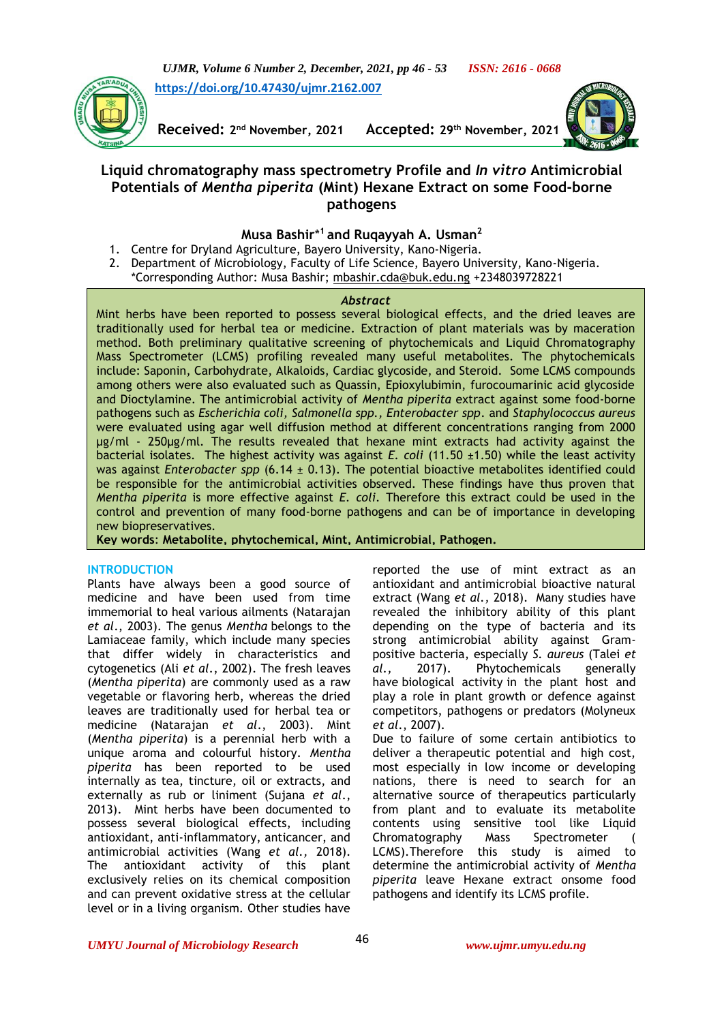*UJMR, Volume 6 Number 2, December, 2021, pp 46 - 53 ISSN: 2616 - 0668*

**[https://doi.org/10.47430/ujmr.2162.007](https://doi.org/10.47430/ujmr.2162.001)**



**Received: 2**

**nd November, 2021 Accepted: 29th November, 2021**



# **Liquid chromatography mass spectrometry Profile and** *In vitro* **Antimicrobial Potentials of** *Mentha piperita* **(Mint) Hexane Extract on some Food-borne pathogens**

# **Musa Bashir**\* **<sup>1</sup>and Ruqayyah A. Usman<sup>2</sup>**

- 1. Centre for Dryland Agriculture, Bayero University, Kano-Nigeria.
- 2. Department of Microbiology, Faculty of Life Science, Bayero University, Kano-Nigeria. \*Corresponding Author: Musa Bashir; [mbashir.cda@buk.edu.ng](mailto:mbashir.cda@buk.edu.ng) +2348039728221

# *Abstract*

Mint herbs have been reported to possess several biological effects, and the dried leaves are traditionally used for herbal tea or medicine. Extraction of plant materials was by maceration method. Both preliminary qualitative screening of phytochemicals and Liquid Chromatography Mass Spectrometer (LCMS) profiling revealed many useful metabolites. The phytochemicals include: Saponin, Carbohydrate, Alkaloids, Cardiac glycoside, and Steroid. Some LCMS compounds among others were also evaluated such as Quassin, Epioxylubimin, furocoumarinic acid glycoside and Dioctylamine. The antimicrobial activity of *Mentha piperita* extract against some food-borne pathogens such as *Escherichia coli, Salmonella spp., Enterobacter spp*. and *Staphylococcus aureus* were evaluated using agar well diffusion method at different concentrations ranging from 2000 µg/ml - 250µg/ml. The results revealed that hexane mint extracts had activity against the bacterial isolates. The highest activity was against *E. coli* (11.50 ±1.50) while the least activity was against *Enterobacter spp* (6.14 ± 0.13). The potential bioactive metabolites identified could be responsible for the antimicrobial activities observed. These findings have thus proven that *Mentha piperita* is more effective against *E. coli*. Therefore this extract could be used in the control and prevention of many food-borne pathogens and can be of importance in developing new biopreservatives.

**Key words**: **Metabolite, phytochemical, Mint, Antimicrobial, Pathogen.**

# **INTRODUCTION**

Plants have always been a good source of medicine and have been used from time immemorial to heal various ailments (Natarajan *et al*., 2003). The genus *Mentha* belongs to the Lamiaceae family, which include many species that differ widely in characteristics and cytogenetics (Ali *et al*., 2002). The fresh leaves (*Mentha piperita*) are commonly used as a raw vegetable or flavoring herb, whereas the dried leaves are traditionally used for herbal tea or medicine (Natarajan *et al*., 2003). Mint (*Mentha piperita*) is a perennial herb with a unique aroma and colourful history. *Mentha piperita* has been reported to be used internally as tea, tincture, oil or extracts, and externally as rub or liniment (Sujana *et al*., 2013). Mint herbs have been documented to possess several biological effects, including antioxidant, anti-inflammatory, anticancer, and antimicrobial activities (Wang *[et al.,](https://www.frontiersin.org/articles/10.3389/fphar.2018.01067/full#B21)* 2018). The antioxidant activity of this plant exclusively relies on its chemical composition and can prevent oxidative stress at the cellular level or in a living organism. Other studies have

reported the use of mint extract as an antioxidant and antimicrobial bioactive natural extract (Wang *[et al.,](https://www.frontiersin.org/articles/10.3389/fphar.2018.01067/full#B21)* 2018). Many studies have revealed the inhibitory ability of this plant depending on the type of bacteria and its strong antimicrobial ability against Grampositive bacteria, especially *S. aureus* (Talei *et al.,* 2017). Phytochemicals generally have [biological activity](https://en.wikipedia.org/wiki/Biological_activity) in the plant host and play a role in plant growth or defence against competitors, pathogens or predators (Molyneux *et al*., 2007).

Due to failure of some certain antibiotics to deliver a therapeutic potential and high cost, most especially in low income or developing nations, there is need to search for an alternative source of therapeutics particularly from plant and to evaluate its metabolite contents using sensitive tool like Liquid Chromatography Mass Spectrometer ( LCMS).Therefore this study is aimed to determine the antimicrobial activity of *Mentha piperita* leave Hexane extract onsome food pathogens and identify its LCMS profile.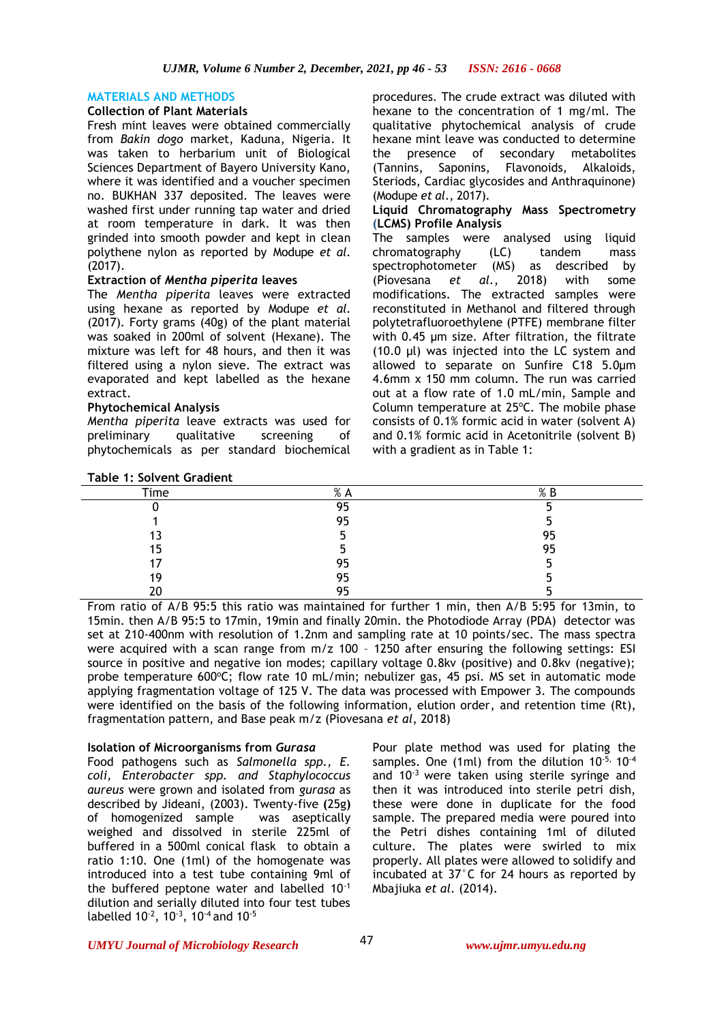### **MATERIALS AND METHODS**

### **Collection of Plant Materials**

Fresh mint leaves were obtained commercially from *Bakin dogo* market, Kaduna, Nigeria. It was taken to herbarium unit of Biological Sciences Department of Bayero University Kano, where it was identified and a voucher specimen no. BUKHAN 337 deposited. The leaves were washed first under running tap water and dried at room temperature in dark. It was then grinded into smooth powder and kept in clean polythene nylon as reported by Modupe *et al*. (2017).

# **Extraction of** *Mentha piperita* **leaves**

The *Mentha piperita* leaves were extracted using hexane as reported by Modupe *et al*. (2017). Forty grams (40g) of the plant material was soaked in 200ml of solvent (Hexane). The mixture was left for 48 hours, and then it was filtered using a nylon sieve. The extract was evaporated and kept labelled as the hexane extract.

# **Phytochemical Analysis**

**Table 1: Solvent Gradient**

*Mentha piperita* leave extracts was used for preliminary qualitative screening of phytochemicals as per standard biochemical procedures. The crude extract was diluted with hexane to the concentration of 1 mg/ml. The qualitative phytochemical analysis of crude hexane mint leave was conducted to determine the presence of secondary metabolites (Tannins, Saponins, Flavonoids, Alkaloids, Steriods, Cardiac glycosides and Anthraquinone) (Modupe *et al*., 2017).

#### **Liquid Chromatography Mass Spectrometry (LCMS) Profile Analysis**

The samples were analysed using liquid chromatography (LC) tandem mass spectrophotometer (MS) as described by (Piovesana *et al.*, 2018) with some modifications. The extracted samples were reconstituted in Methanol and filtered through polytetrafluoroethylene (PTFE) membrane filter with 0.45 μm size. After filtration, the filtrate (10.0 μl) was injected into the LC system and allowed to separate on Sunfire C18 5.0µm 4.6mm x 150 mm column. The run was carried out at a flow rate of 1.0 mL/min, Sample and Column temperature at 25°C. The mobile phase consists of 0.1% formic acid in water (solvent A) and 0.1% formic acid in Acetonitrile (solvent B) with a gradient as in Table 1:

| Time | % A | % B |
|------|-----|-----|
|      | 95  |     |
|      | 95  |     |
| 13   |     | 95  |
| 15   |     | 95  |
|      | 95  |     |
| 19   | 95  |     |
| 20   | 95  |     |

From ratio of A/B 95:5 this ratio was maintained for further 1 min, then A/B 5:95 for 13min, to 15min. then A/B 95:5 to 17min, 19min and finally 20min. the Photodiode Array (PDA) detector was set at 210-400nm with resolution of 1.2nm and sampling rate at 10 points/sec. The mass spectra were acquired with a scan range from m/z 100 – 1250 after ensuring the following settings: ESI source in positive and negative ion modes; capillary voltage 0.8kv (positive) and 0.8kv (negative); probe temperature  $600^{\circ}$ C; flow rate 10 mL/min; nebulizer gas, 45 psi. MS set in automatic mode applying fragmentation voltage of 125 V. The data was processed with Empower 3. The compounds were identified on the basis of the following information, elution order, and retention time (Rt), fragmentation pattern, and Base peak m/z (Piovesana *et al*, 2018)

# **Isolation of Microorganisms from** *Gurasa*

Food pathogens such as *Salmonella spp., E. coli, Enterobacter spp. and Staphylococcus aureus* were grown and isolated from *gurasa* as described by Jideani, (2003). Twenty-five **(**25g**)**  of homogenized sample was aseptically weighed and dissolved in sterile 225ml of buffered in a 500ml conical flask to obtain a ratio 1:10. One (1ml) of the homogenate was introduced into a test tube containing 9ml of the buffered peptone water and labelled 10-1 dilution and serially diluted into four test tubes labelled  $10^{-2}$ ,  $10^{-3}$ ,  $10^{-4}$  and  $10^{-5}$ 

Pour plate method was used for plating the samples. One (1ml) from the dilution  $10^{-5}$ ,  $10^{-4}$ and  $10^{-3}$  were taken using sterile syringe and then it was introduced into sterile petri dish, these were done in duplicate for the food sample. The prepared media were poured into the Petri dishes containing 1ml of diluted culture. The plates were swirled to mix properly. All plates were allowed to solidify and incubated at 37°C for 24 hours as reported by Mbajiuka *et al*. (2014).

#### *UMYU Journal of Microbiology Research www.ujmr.umyu.edu.ng*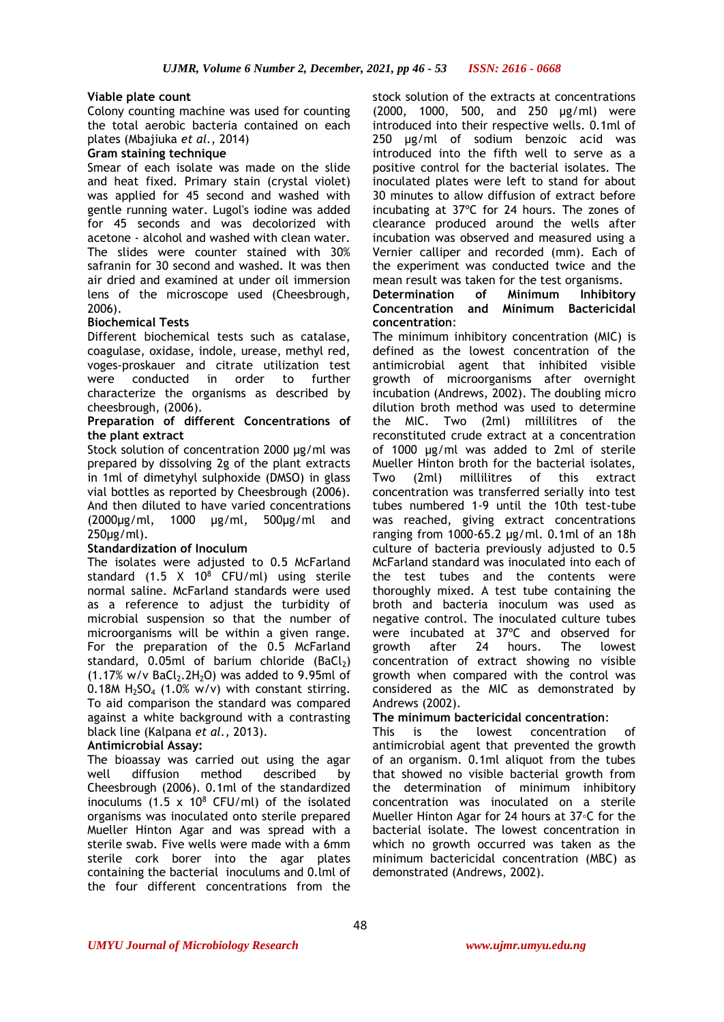# **Viable plate count**

Colony counting machine was used for counting the total aerobic bacteria contained on each plates (Mbajiuka *et al.*, 2014)

### **Gram staining technique**

Smear of each isolate was made on the slide and heat fixed. Primary stain (crystal violet) was applied for 45 second and washed with gentle running water. Lugol's iodine was added for 45 seconds and was decolorized with acetone - alcohol and washed with clean water. The slides were counter stained with 30% safranin for 30 second and washed. It was then air dried and examined at under oil immersion lens of the microscope used (Cheesbrough, 2006).

# **Biochemical Tests**

Different biochemical tests such as catalase, coagulase, oxidase, indole, urease, methyl red, voges-proskauer and citrate utilization test were conducted in order to further characterize the organisms as described by cheesbrough, (2006).

#### **Preparation of different Concentrations of the plant extract**

Stock solution of concentration 2000 µg/ml was prepared by dissolving 2g of the plant extracts in 1ml of dimetyhyl sulphoxide (DMSO) in glass vial bottles as reported by Cheesbrough (2006). And then diluted to have varied concentrations (2000µg/ml, 1000 µg/ml, 500µg/ml and 250µg/ml).

# **Standardization of Inoculum**

The isolates were adjusted to 0.5 McFarland standard  $(1.5 \tX 10^8 \tCFU/ml)$  using sterile normal saline. McFarland standards were used as a reference to adjust the turbidity of microbial suspension so that the number of microorganisms will be within a given range. For the preparation of the 0.5 McFarland standard, 0.05ml of barium chloride (BaCl2)  $(1.17\% \text{ w/v } BaCl<sub>2</sub>.2H<sub>2</sub>O)$  was added to 9.95ml of 0.18M  $H_2SO_4$  (1.0% w/v) with constant stirring. To aid comparison the standard was compared against a white background with a contrasting black line (Kalpana *et al.,* 2013).

# **Antimicrobial Assay:**

The bioassay was carried out using the agar well diffusion method described by Cheesbrough (2006). 0.1ml of the standardized inoculums (1.5  $\times$  10<sup>8</sup> CFU/ml) of the isolated organisms was inoculated onto sterile prepared Mueller Hinton Agar and was spread with a sterile swab. Five wells were made with a 6mm sterile cork borer into the agar plates containing the bacterial inoculums and 0.lml of the four different concentrations from the

stock solution of the extracts at concentrations (2000, 1000, 500, and 250 µg/ml) were introduced into their respective wells. 0.1ml of 250 µg/ml of sodium benzoic acid was introduced into the fifth well to serve as a positive control for the bacterial isolates. The inoculated plates were left to stand for about 30 minutes to allow diffusion of extract before incubating at 37ºC for 24 hours. The zones of clearance produced around the wells after incubation was observed and measured using a Vernier calliper and recorded (mm). Each of the experiment was conducted twice and the mean result was taken for the test organisms.<br>Determination of Minimum Inhibito

# **Determination of Minimum Inhibitory Concentration and Minimum Bactericidal concentration:**

The minimum inhibitory concentration (MIC) is defined as the lowest concentration of the antimicrobial agent that inhibited visible growth of microorganisms after overnight incubation (Andrews, 2002). The doubling micro dilution broth method was used to determine the MIC. Two (2ml) millilitres of the reconstituted crude extract at a concentration of 1000 µg/ml was added to 2ml of sterile Mueller Hinton broth for the bacterial isolates, Two (2ml) millilitres of this extract concentration was transferred serially into test tubes numbered 1-9 until the 10th test-tube was reached, giving extract concentrations ranging from 1000-65.2 µg/ml. 0.1ml of an 18h culture of bacteria previously adjusted to 0.5 McFarland standard was inoculated into each of the test tubes and the contents were thoroughly mixed. A test tube containing the broth and bacteria inoculum was used as negative control. The inoculated culture tubes were incubated at 37ºC and observed for growth after 24 hours. The lowest concentration of extract showing no visible growth when compared with the control was considered as the MIC as demonstrated by Andrews (2002).

# **The minimum bactericidal concentration**:

This is the lowest concentration of antimicrobial agent that prevented the growth of an organism. 0.1ml aliquot from the tubes that showed no visible bacterial growth from the determination of minimum inhibitory concentration was inoculated on a sterile Mueller Hinton Agar for 24 hours at 37◦C for the bacterial isolate. The lowest concentration in which no growth occurred was taken as the minimum bactericidal concentration (MBC) as demonstrated (Andrews, 2002).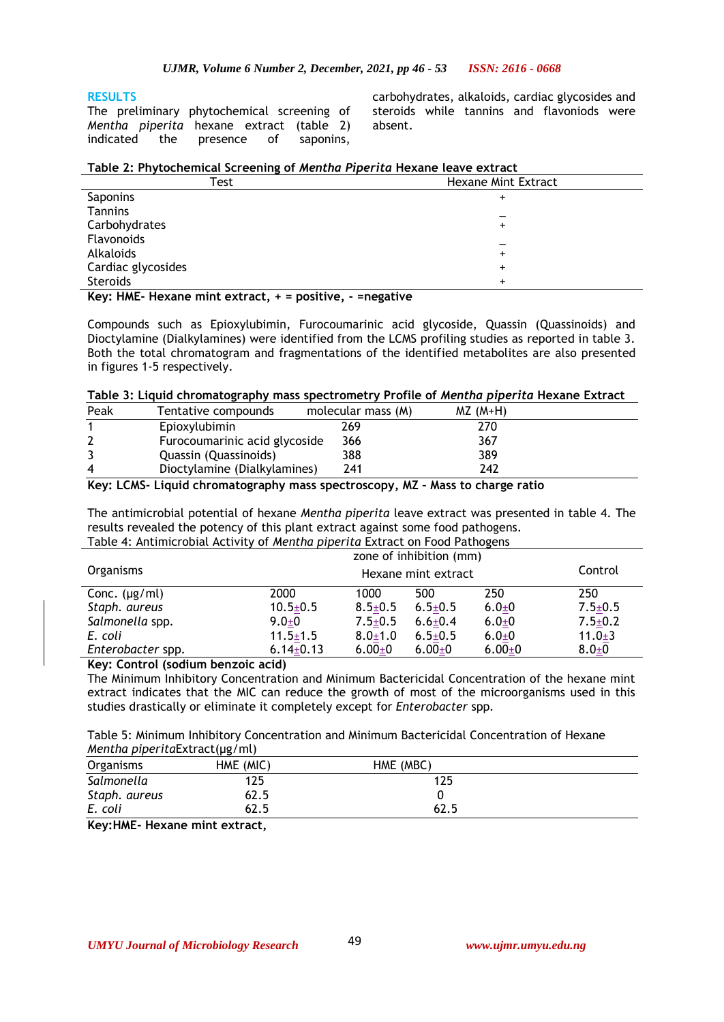# **RESULTS**

The preliminary phytochemical screening of *Mentha piperita* hexane extract (table 2) indicated the presence of saponins,

carbohydrates, alkaloids, cardiac glycosides and steroids while tannins and flavoniods were absent.

# **Table 2: Phytochemical Screening of** *Mentha Piperita* **Hexane leave extract**

| Test               | <b>Hexane Mint Extract</b> |
|--------------------|----------------------------|
| Saponins           |                            |
| Tannins            |                            |
| Carbohydrates      |                            |
| Flavonoids         |                            |
| Alkaloids          |                            |
| Cardiac glycosides | ÷                          |
| Steroids           |                            |
| $\cdots$<br>.      | $\sim$ $\sim$              |

**Key: HME- Hexane mint extract, + = positive, - =negative**

Compounds such as Epioxylubimin, Furocoumarinic acid glycoside, Quassin (Quassinoids) and Dioctylamine (Dialkylamines) were identified from the LCMS profiling studies as reported in table 3. Both the total chromatogram and fragmentations of the identified metabolites are also presented in figures 1-5 respectively.

# **Table 3: Liquid chromatography mass spectrometry Profile of** *Mentha piperita* **Hexane Extract**

| Peak | Tentative compounds           | molecular mass (M) | $MZ (M+H)$ |  |
|------|-------------------------------|--------------------|------------|--|
|      | Epioxylubimin                 | 269                | 270        |  |
|      | Furocoumarinic acid glycoside | 366                | 367        |  |
|      | Quassin (Quassinoids)         | 388                | 389        |  |
| 4    | Dioctylamine (Dialkylamines)  | 241                | 242        |  |

# **Key: LCMS- Liquid chromatography mass spectroscopy, MZ – Mass to charge ratio**

The antimicrobial potential of hexane *Mentha piperita* leave extract was presented in table 4. The results revealed the potency of this plant extract against some food pathogens. Table 4: Antimicrobial Activity of *Mentha piperita* Extract on Food Pathogens

|                    | zone of inhibition (mm)        |               |               |            |               |
|--------------------|--------------------------------|---------------|---------------|------------|---------------|
| Organisms          | Control<br>Hexane mint extract |               |               |            |               |
| Conc. $(\mu g/ml)$ | 2000                           | 1000          | 500           | 250        | 250           |
| Staph. aureus      | $10.5 \pm 0.5$                 | $8.5 \pm 0.5$ | $6.5 \pm 0.5$ | $6.0 + 0$  | $7.5 \pm 0.5$ |
| Salmonella spp.    | $9.0 \pm 0$                    | $7.5 \pm 0.5$ | $6.6 \pm 0.4$ | $6.0 + 0$  | $7.5 \pm 0.2$ |
| E. coli            | $11.5 \pm 1.5$                 | $8.0 \pm 1.0$ | $6.5 \pm 0.5$ | $6.0 + 0$  | $11.0 \pm 3$  |
| Enterobacter spp.  | $6.14 \pm 0.13$                | $6.00 \pm 0$  | $6.00_{\pm}0$ | $6.00 + 0$ | $8.0 + 0$     |
|                    |                                |               |               |            |               |

**Key: Control (sodium benzoic acid)**

The Minimum Inhibitory Concentration and Minimum Bactericidal Concentration of the hexane mint extract indicates that the MIC can reduce the growth of most of the microorganisms used in this studies drastically or eliminate it completely except for *Enterobacter* spp*.*

Table 5: Minimum Inhibitory Concentration and Minimum Bactericidal Concentration of Hexane *Mentha piperita*Extract(µg/ml)

| Organisms                                  | HME (MIC) | HME (MBC) |  |
|--------------------------------------------|-----------|-----------|--|
| Salmonella                                 | 125       | '25       |  |
| Staph. aureus                              | 62.5      |           |  |
| E. coli                                    | 62.5      | 62.5      |  |
| $\mathbf{r}$ . $\mathbf{r}$ . $\mathbf{r}$ | .         |           |  |

**Key:HME- Hexane mint extract,**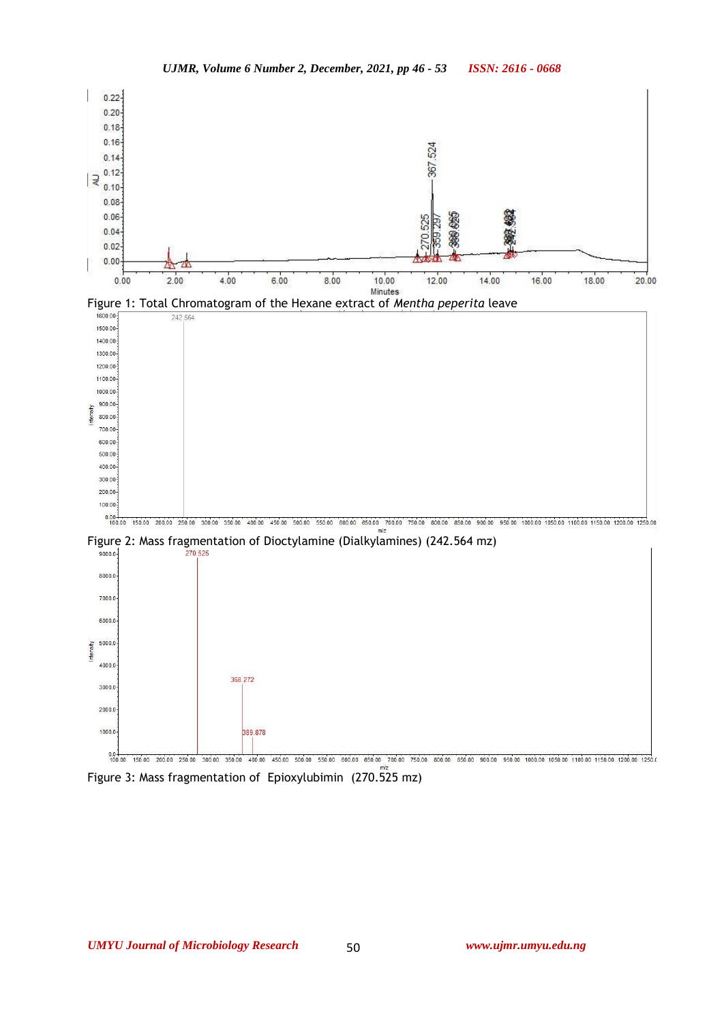







Figure 3: Mass fragmentation of Epioxylubimin (270.525 mz)

50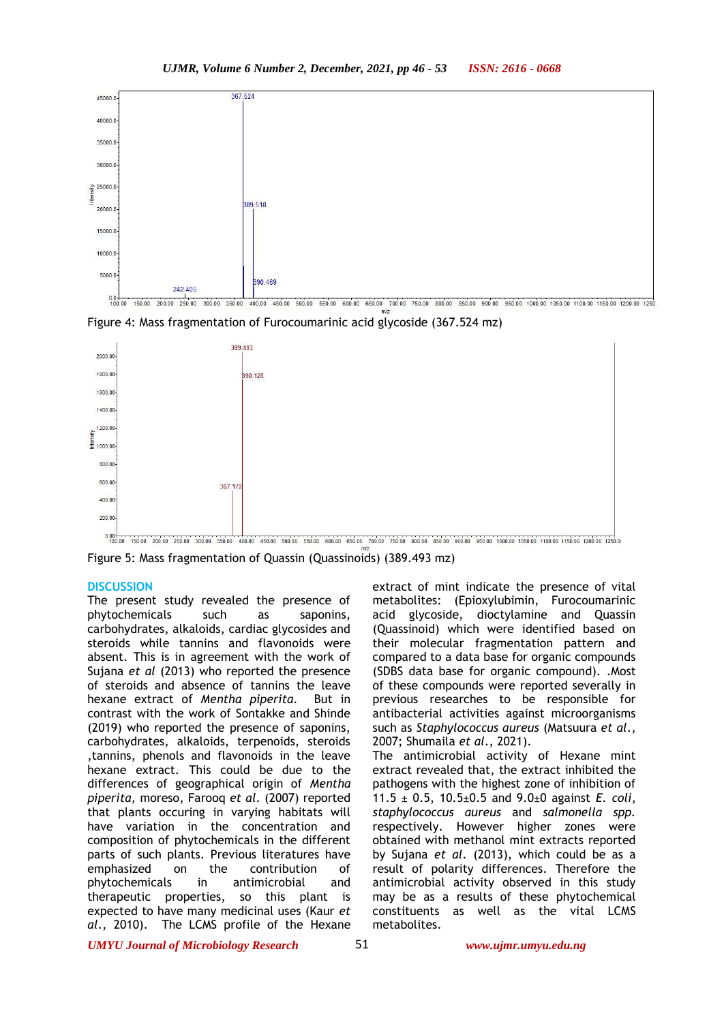

0.0 4 50.00 200.00 250.00 300.00 350.00 400.00 450.00 500.00 550.00 650.00 750.00 750.00 650.00 500.00 950.00 950.00 1000.00 1050.00 1150.00 1250.00 1250.00 1250

Figure 4: Mass fragmentation of Furocoumarinic acid glycoside (367.524 mz)



Figure 5: Mass fragmentation of Quassin (Quassinoids) (389.493 mz)

#### **DISCUSSION**

The present study revealed the presence of phytochemicals such as saponins, carbohydrates, alkaloids, cardiac glycosides and steroids while tannins and flavonoids were absent. This is in agreement with the work of Sujana *et al* (2013) who reported the presence of steroids and absence of tannins the leave hexane extract of *Mentha piperita.* But in contrast with the work of Sontakke and Shinde (2019) who reported the presence of saponins, carbohydrates, alkaloids, terpenoids, steroids ,tannins, phenols and flavonoids in the leave hexane extract. This could be due to the differences of geographical origin of *Mentha piperita,* moreso, Farooq *et al*. (2007) reported that plants occuring in varying habitats will have variation in the concentration and composition of phytochemicals in the different parts of such plants. Previous literatures have emphasized on the contribution of phytochemicals in antimicrobial and therapeutic properties, so this plant is expected to have many medicinal uses (Kaur *et al*., 2010). The LCMS profile of the Hexane

extract of mint indicate the presence of vital metabolites: (Epioxylubimin, Furocoumarinic acid glycoside, dioctylamine and Quassin (Quassinoid) which were identified based on their molecular fragmentation pattern and compared to a data base for organic compounds (SDBS data base for organic compound). .Most of these compounds were reported severally in previous researches to be responsible for antibacterial activities against microorganisms such as *Staphylococcus aureus* (Matsuura *et al*., 2007; Shumaila *et al*., 2021). The antimicrobial activity of Hexane mint extract revealed that, the extract inhibited the pathogens with the highest zone of inhibition of 11.5 ± 0.5, 10.5±0.5 and 9.0±0 against *E. coli*, *staphylococcus aureus* and *salmonella spp.* respectively. However higher zones were obtained with methanol mint extracts reported by Sujana *et al*. (2013), which could be as a result of polarity differences. Therefore the antimicrobial activity observed in this study may be as a results of these phytochemical

*UMYU Journal of Microbiology Research www.ujmr.umyu.edu.ng*

metabolites.

constituents as well as the vital LCMS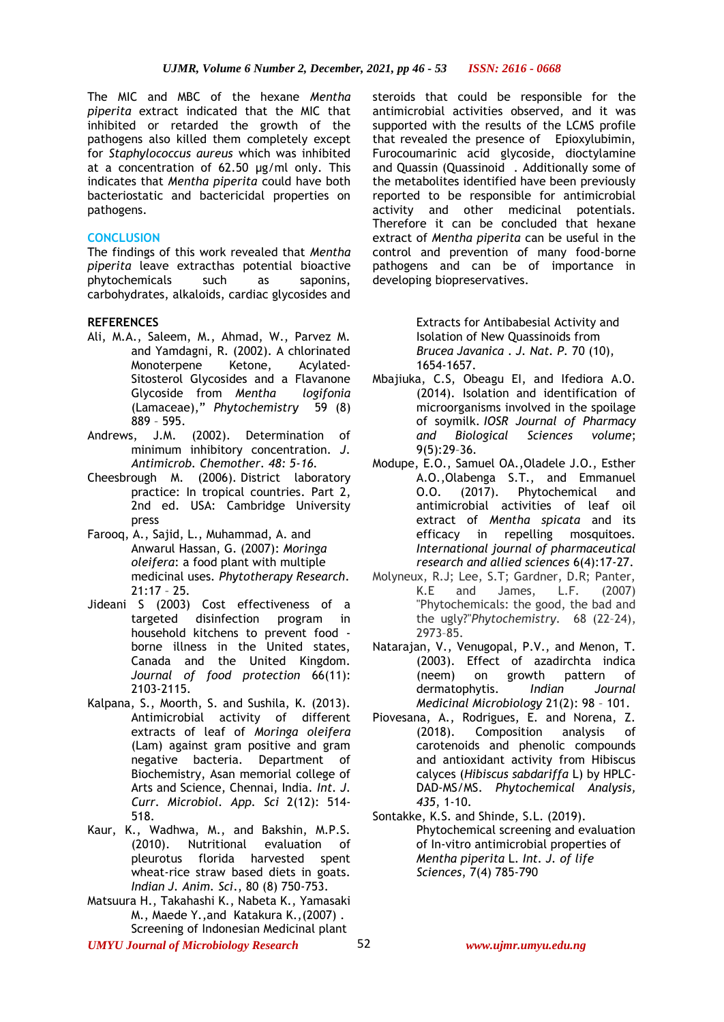The MIC and MBC of the hexane *Mentha piperita* extract indicated that the MIC that inhibited or retarded the growth of the pathogens also killed them completely except for *Staphylococcus aureus* which was inhibited at a concentration of 62.50 µg/ml only. This indicates that *Mentha piperita* could have both bacteriostatic and bactericidal properties on pathogens.

#### **CONCLUSION**

The findings of this work revealed that *Mentha piperita* leave extracthas potential bioactive phytochemicals such as saponins, carbohydrates, alkaloids, cardiac glycosides and

#### **REFERENCES**

- Ali, M.A., Saleem, M., Ahmad, W., Parvez M. and Yamdagni, R. (2002). A chlorinated Monoterpene Ketone, Acylated-Sitosterol Glycosides and a Flavanone Glycoside from *Mentha logifonia*  (Lamaceae)," *Phytochemistry* 59 (8) 889 – 595.
- Andrews, J.M. (2002). Determination of minimum inhibitory concentration. *J. Antimicrob. Chemother. 48: 5-16.*
- Cheesbrough M. (2006). District laboratory practice: In tropical countries. Part 2, 2nd ed. USA: Cambridge University press
- Farooq, A., Sajid, L., Muhammad, A. and Anwarul Hassan, G. (2007): *Moringa oleifera*: a food plant with multiple medicinal uses*. Phytotherapy Research*. 21:17 – 25.
- Jideani S (2003) Cost effectiveness of a targeted disinfection program in household kitchens to prevent food borne illness in the United states, Canada and the United Kingdom. *Journal of food protection* 66(11): 2103-2115.
- Kalpana, S., Moorth, S. and Sushila, K. (2013). Antimicrobial activity of different extracts of leaf of *Moringa oleifera* (Lam) against gram positive and gram negative bacteria. Department of Biochemistry, Asan memorial college of Arts and Science, Chennai, India. *Int. J. Curr. Microbiol. App. Sci* 2(12): 514- 518.
- Kaur, K., Wadhwa, M., and Bakshin, M.P.S. (2010). Nutritional evaluation of pleurotus florida harvested spent wheat-rice straw based diets in goats. *Indian J. Anim. Sci*., 80 (8) 750-753.
- Matsuura H., Takahashi K., Nabeta K., Yamasaki M., Maede Y.,and Katakura K.,(2007) . Screening of Indonesian Medicinal plant

steroids that could be responsible for the antimicrobial activities observed, and it was supported with the results of the LCMS profile that revealed the presence of Epioxylubimin, Furocoumarinic acid glycoside, dioctylamine and Quassin (Quassinoid . Additionally some of the metabolites identified have been previously reported to be responsible for antimicrobial activity and other medicinal potentials. Therefore it can be concluded that hexane extract of *Mentha piperita* can be useful in the control and prevention of many food-borne pathogens and can be of importance in developing biopreservatives.

> Extracts for Antibabesial Activity and Isolation of New Quassinoids from *Brucea Javanica* . *J. Nat. P.* 70 (10), 1654-1657.

- [Mbajiuka, C.S, Obeagu EI, and Ifediora A.O.](http://www.iosrjournals.org/iosr-jpbs/papers/Vol9-issue5/Version-3/E09532936.pdf)  [\(2014\). Isolation and identification of](http://www.iosrjournals.org/iosr-jpbs/papers/Vol9-issue5/Version-3/E09532936.pdf)  [microorganisms involved in the spoilage](http://www.iosrjournals.org/iosr-jpbs/papers/Vol9-issue5/Version-3/E09532936.pdf)  of soymilk. *[IOSR Journal of Pharmacy](http://www.iosrjournals.org/iosr-jpbs/papers/Vol9-issue5/Version-3/E09532936.pdf)  [and Biological Sciences volume](http://www.iosrjournals.org/iosr-jpbs/papers/Vol9-issue5/Version-3/E09532936.pdf)*; [9\(5\):29](http://www.iosrjournals.org/iosr-jpbs/papers/Vol9-issue5/Version-3/E09532936.pdf)–36.
- Modupe, E.O., Samuel OA.,Oladele J.O., Esther A.O.,Olabenga S.T., and Emmanuel O.O. (2017). Phytochemical and antimicrobial activities of leaf oil extract of *Mentha spicata* and its efficacy in repelling mosquitoes. *International journal of pharmaceutical research and allied sciences* 6(4):17-27.
- Molyneux, R.J; Lee, S.T; Gardner, D.R; Panter, K.E and James, L.F. (2007) "Phytochemicals: the good, the bad and the ugly?"*Phytochemistry.* 68 (22–24), 2973–85.
- Natarajan, V., Venugopal, P.V., and Menon, T. (2003). Effect of azadirchta indica (neem) on growth pattern of dermatophytis. *Indian Journal Medicinal Microbiology* 21(2): 98 – 101.
- Piovesana, A., Rodrigues, E. and Norena, Z. (2018). Composition analysis of carotenoids and phenolic compounds and antioxidant activity from Hibiscus calyces (*Hibiscus sabdariffa* L) by HPLC-DAD-MS/MS. *Phytochemical Analysis, 435*, 1-10.
- Sontakke, K.S. and Shinde, S.L. (2019). Phytochemical screening and evaluation of In-vitro antimicrobial properties of *Mentha piperita* L. *Int. J. of life Sciences*, 7(4) 785-790